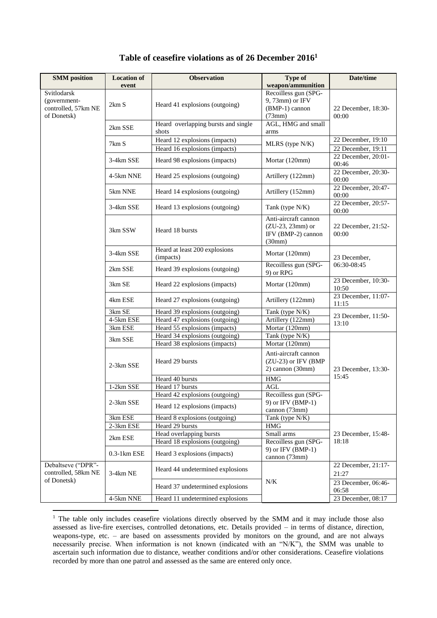| <b>SMM</b> position                                               | <b>Location of</b> | <b>Observation</b>                                             | <b>Type of</b><br>weapon/ammunition                                        | Date/time                                |
|-------------------------------------------------------------------|--------------------|----------------------------------------------------------------|----------------------------------------------------------------------------|------------------------------------------|
| Svitlodarsk<br>(government-<br>controlled, 57km NE<br>of Donetsk) | event<br>2km S     | Heard 41 explosions (outgoing)                                 | Recoilless gun (SPG-<br>9, 73mm) or IFV<br>(BMP-1) cannon<br>(73mm)        | 22 December, 18:30-<br>00:00             |
|                                                                   | 2km SSE            | Heard overlapping bursts and single<br>shots                   | AGL, HMG and small<br>arms                                                 |                                          |
|                                                                   | 7km S              | Heard 12 explosions (impacts)<br>Heard 16 explosions (impacts) | MLRS (type N/K)                                                            | 22 December, 19:10<br>22 December, 19:11 |
|                                                                   | 3-4km SSE          | Heard 98 explosions (impacts)                                  | Mortar (120mm)                                                             | 22 December, 20:01-<br>00:46             |
|                                                                   | 4-5km NNE          | Heard 25 explosions (outgoing)                                 | Artillery (122mm)                                                          | 22 December, 20:30-<br>00:00             |
|                                                                   | 5km NNE            | Heard 14 explosions (outgoing)                                 | Artillery (152mm)                                                          | 22 December, 20:47-<br>00:00             |
|                                                                   | 3-4km SSE          | Heard 13 explosions (outgoing)                                 | Tank (type N/K)                                                            | 22 December, 20:57-<br>00:00             |
|                                                                   | 3km SSW            | Heard 18 bursts                                                | Anti-aircraft cannon<br>$(ZU-23, 23mm)$ or<br>IFV (BMP-2) cannon<br>(30mm) | 22 December, 21:52-<br>00:00             |
|                                                                   | 3-4km SSE          | Heard at least 200 explosions<br>(impacts)                     | Mortar (120mm)                                                             | 23 December,                             |
|                                                                   | 2km SSE            | Heard 39 explosions (outgoing)                                 | Recoilless gun (SPG-<br>9) or RPG                                          | 06:30-08:45                              |
|                                                                   | 3km SE             | Heard 22 explosions (impacts)                                  | Mortar (120mm)                                                             | 23 December, 10:30-<br>10:50             |
|                                                                   | 4km ESE            | Heard 27 explosions (outgoing)                                 | Artillery (122mm)                                                          | 23 December, 11:07-<br>11:15             |
|                                                                   | 3km SE             | Heard 39 explosions (outgoing)                                 | Tank (type N/K)                                                            | 23 December, 11:50-                      |
|                                                                   | 4-5km ESE          | Heard 47 explosions (outgoing)                                 | Artillery (122mm)                                                          | 13:10                                    |
|                                                                   | 3km ESE            | Heard 55 explosions (impacts)                                  | Mortar (120mm)                                                             |                                          |
|                                                                   | 3km SSE            | Heard 34 explosions (outgoing)                                 | Tank (type N/K)                                                            |                                          |
|                                                                   |                    | Heard 38 explosions (impacts)                                  | Mortar $(120$ mm)                                                          |                                          |
|                                                                   | 2-3km SSE          | Heard 29 bursts                                                | Anti-aircraft cannon<br>(ZU-23) or IFV (BMP<br>2) cannon (30mm)            | 23 December, 13:30-                      |
|                                                                   |                    | Heard 40 bursts                                                | <b>HMG</b>                                                                 | 15:45                                    |
|                                                                   | 1-2km SSE          | Heard 17 bursts                                                | <b>AGL</b>                                                                 |                                          |
|                                                                   |                    | Heard 42 explosions (outgoing)                                 | Recoilless gun (SPG-                                                       |                                          |
|                                                                   | 2-3km SSE          | Heard 12 explosions (impacts)                                  | 9) or IFV (BMP-1)<br>cannon (73mm)                                         |                                          |
|                                                                   | 3km ESE            | Heard 8 explosions (outgoing)                                  | Tank (type $N/K$ )                                                         |                                          |
|                                                                   | 2-3km ESE          | Heard 29 bursts                                                | HMG                                                                        |                                          |
|                                                                   | 2km ESE            | Head overlapping bursts                                        | Small arms                                                                 | 23 December, 15:48-                      |
|                                                                   |                    | Heard 18 explosions (outgoing)                                 | Recoilless gun (SPG-                                                       | 18:18                                    |
|                                                                   | $0.3-1km$ ESE      | Heard 3 explosions (impacts)                                   | 9) or IFV (BMP-1)<br>cannon (73mm)                                         |                                          |
| Debaltseve ("DPR"-<br>controlled, 58km NE                         | 3-4km NE           | Heard 44 undetermined explosions                               |                                                                            | 22 December, 21:17-<br>21:27             |
| of Donetsk)                                                       |                    | Heard 37 undetermined explosions                               | N/K                                                                        | 23 December, 06:46-<br>06:58             |
|                                                                   | 4-5km NNE          | Heard 11 undetermined explosions                               |                                                                            | 23 December, 08:17                       |

## **Table of ceasefire violations as of 26 December 2016<sup>1</sup>**

1

<sup>&</sup>lt;sup>1</sup> The table only includes ceasefire violations directly observed by the SMM and it may include those also assessed as live-fire exercises, controlled detonations, etc. Details provided – in terms of distance, direction, weapons-type, etc. – are based on assessments provided by monitors on the ground, and are not always necessarily precise. When information is not known (indicated with an "N/K"), the SMM was unable to ascertain such information due to distance, weather conditions and/or other considerations. Ceasefire violations recorded by more than one patrol and assessed as the same are entered only once.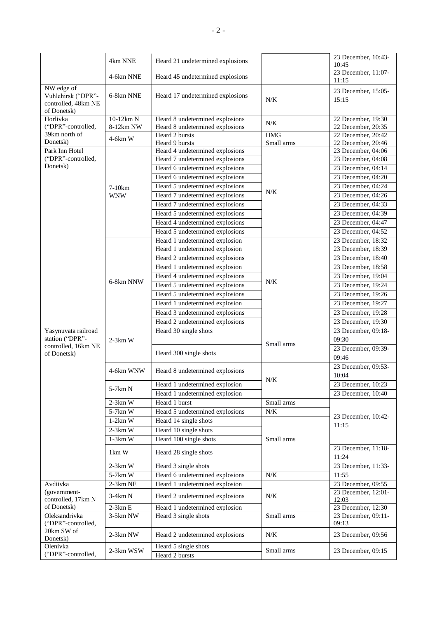|                                                                        | 4km NNE    | Heard 21 undetermined explosions |            | 23 December, 10:43-<br>10:45 |
|------------------------------------------------------------------------|------------|----------------------------------|------------|------------------------------|
|                                                                        | 4-6km NNE  | Heard 45 undetermined explosions |            | 23 December, 11:07-<br>11:15 |
| NW edge of<br>Vuhlehirsk ("DPR"-<br>controlled, 48km NE<br>of Donetsk) | 6-8km NNE  | Heard 17 undetermined explosions | N/K        | 23 December, 15:05-<br>15:15 |
| Horlivka                                                               | 10-12km N  | Heard 8 undetermined explosions  |            | 22 December, 19:30           |
| ("DPR"-controlled,                                                     | 8-12km NW  | Heard 8 undetermined explosions  | N/K        | 22 December, 20:35           |
| 39km north of                                                          | $4-6km$ W  | Heard 2 bursts                   | <b>HMG</b> | 22 December, 20:42           |
| Donetsk)                                                               |            | Heard 9 bursts                   | Small arms | 22 December, 20:46           |
| Park Inn Hotel                                                         |            | Heard 4 undetermined explosions  |            | 23 December, 04:06           |
| ("DPR"-controlled,                                                     |            | Heard 7 undetermined explosions  |            | 23 December, 04:08           |
| Donetsk)                                                               |            | Heard 6 undetermined explosions  |            | 23 December, 04:14           |
|                                                                        |            | Heard 6 undetermined explosions  |            | 23 December, 04:20           |
|                                                                        | 7-10km     | Heard 5 undetermined explosions  | N/K        | 23 December, 04:24           |
|                                                                        | <b>WNW</b> | Heard 7 undetermined explosions  |            | 23 December, 04:26           |
|                                                                        |            | Heard 7 undetermined explosions  |            | 23 December, 04:33           |
|                                                                        |            | Heard 5 undetermined explosions  |            | 23 December, 04:39           |
|                                                                        |            | Heard 4 undetermined explosions  |            | 23 December, 04:47           |
|                                                                        |            | Heard 5 undetermined explosions  |            | 23 December, 04:52           |
|                                                                        |            | Heard 1 undetermined explosion   |            | 23 December, 18:32           |
|                                                                        |            | Heard 1 undetermined explosion   |            | 23 December, 18:39           |
|                                                                        |            | Heard 2 undetermined explosions  |            | 23 December, 18:40           |
|                                                                        |            | Heard 1 undetermined explosion   |            | 23 December, 18:58           |
|                                                                        |            | Heard 4 undetermined explosions  |            | 23 December, 19:04           |
|                                                                        | 6-8km NNW  | Heard 5 undetermined explosions  | N/K        | 23 December, 19:24           |
|                                                                        |            | Heard 5 undetermined explosions  |            | 23 December, 19:26           |
|                                                                        |            | Heard 1 undetermined explosion   |            | 23 December, 19:27           |
|                                                                        |            | Heard 3 undetermined explosions  |            | 23 December, 19:28           |
|                                                                        |            | Heard 2 undetermined explosions  |            | 23 December, 19:30           |
| Yasynuvata railroad                                                    |            | Heard 30 single shots            |            | 23 December, 09:18-          |
| station ("DPR"-                                                        | $2-3km$ W  |                                  |            | 09:30                        |
| controlled, 16km NE                                                    |            |                                  | Small arms | 23 December, 09:39-          |
| of Donetsk)                                                            |            | Heard 300 single shots           |            | 09:46                        |
|                                                                        |            |                                  |            | 23 December, 09:53-          |
|                                                                        | 4-6km WNW  | Heard 8 undetermined explosions  |            | 10:04                        |
|                                                                        |            | Heard 1 undetermined explosion   | N/K        | 23 December, 10:23           |
|                                                                        | 5-7km N    | Heard 1 undetermined explosion   |            | 23 December, 10:40           |
|                                                                        | $2-3km$ W  | Heard 1 burst                    | Small arms |                              |
|                                                                        | $5-7km$ W  | Heard 5 undetermined explosions  | $N/K$      |                              |
|                                                                        | $1-2km$ W  | Heard 14 single shots            |            | 23 December, 10:42-          |
|                                                                        | $2-3km$ W  | Heard 10 single shots            |            | 11:15                        |
|                                                                        | $1-3km$ W  | Heard 100 single shots           | Small arms |                              |
|                                                                        |            |                                  |            | 23 December, 11:18-          |
|                                                                        | 1km W      | Heard 28 single shots            |            | 11:24                        |
|                                                                        | $2-3km$ W  | Heard 3 single shots             |            | 23 December, 11:33-          |
|                                                                        | 5-7km W    | Heard 6 undetermined explosions  | $N\!/\!K$  | 11:55                        |
| Avdiivka                                                               | $2-3km$ NE | Heard 1 undetermined explosion   |            | 23 December, 09:55           |
| (government-<br>controlled, 17km N                                     | 3-4km N    | Heard 2 undetermined explosions  | N/K        | 23 December, 12:01-<br>12:03 |
| of Donetsk)                                                            | $2-3km E$  | Heard 1 undetermined explosion   |            | 23 December, 12:30           |
| Oleksandrivka                                                          | 3-5km NW   | Heard 3 single shots             | Small arms | 23 December, 09:11-          |
| ("DPR"-controlled,                                                     |            |                                  |            | 09:13                        |
| 20km SW of<br>Donetsk)                                                 | 2-3km NW   | Heard 2 undetermined explosions  | $N\!/\!K$  | 23 December, 09:56           |
| Olenivka                                                               | 2-3km WSW  | Heard 5 single shots             | Small arms | 23 December, 09:15           |
| ("DPR"-controlled,                                                     |            | Heard 2 bursts                   |            |                              |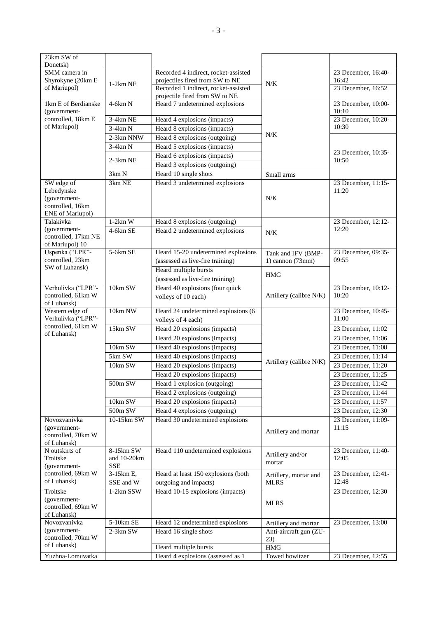| 23km SW of                        |             |                                      |                               |                              |
|-----------------------------------|-------------|--------------------------------------|-------------------------------|------------------------------|
| Donetsk)                          |             |                                      |                               |                              |
| SMM camera in                     |             | Recorded 4 indirect, rocket-assisted |                               | 23 December, 16:40-          |
| Shyrokyne (20km E                 | $1-2km$ NE  | projectiles fired from SW to NE      | N/K                           | 16:42                        |
| of Mariupol)                      |             | Recorded 1 indirect, rocket-assisted |                               | 23 December, 16:52           |
|                                   |             | projectile fired from SW to NE       |                               |                              |
| 1km E of Berdianske               | $4-6km N$   | Heard 7 undetermined explosions      |                               | 23 December, 10:00-          |
| (government-                      |             |                                      |                               | 10:10                        |
| controlled, 18km E                | 3-4km NE    | Heard 4 explosions (impacts)         |                               | 23 December, 10:20-          |
| of Mariupol)                      | $3-4km N$   | Heard 8 explosions (impacts)         |                               | 10:30                        |
|                                   | 2-3km NNW   | Heard 8 explosions (outgoing)        | N/K                           |                              |
|                                   | $3-4km N$   | Heard 5 explosions (impacts)         |                               |                              |
|                                   |             | Heard 6 explosions (impacts)         |                               | 23 December, 10:35-          |
|                                   | $2-3km$ NE  | Heard 3 explosions (outgoing)        |                               | 10:50                        |
|                                   | 3km N       | Heard 10 single shots                | Small arms                    |                              |
| SW edge of                        | 3km NE      | Heard 3 undetermined explosions      |                               | 23 December, 11:15-          |
| Lebedynske                        |             |                                      |                               | 11:20                        |
| (government-                      |             |                                      | N/K                           |                              |
| controlled, 16km                  |             |                                      |                               |                              |
| ENE of Mariupol)                  |             |                                      |                               |                              |
| Talakivka                         | $1-2km$ W   | Heard 8 explosions (outgoing)        |                               | 23 December, 12:12-          |
| (government-                      | 4-6km SE    | Heard 2 undetermined explosions      | N/K                           | 12:20                        |
| controlled, 17km NE               |             |                                      |                               |                              |
| of Mariupol) 10                   |             |                                      |                               |                              |
| Uspenka ("LPR"-                   | 5-6km SE    | Heard 15-20 undetermined explosions  | Tank and IFV (BMP-            | 23 December, 09:35-          |
| controlled, 23km                  |             | (assessed as live-fire training)     | 1) cannon (73mm)              | 09:55                        |
| SW of Luhansk)                    |             | Heard multiple bursts                |                               |                              |
|                                   |             | (assessed as live-fire training)     | <b>HMG</b>                    |                              |
| Verhulivka ("LPR"-                | 10km SW     | Heard $40$ explosions (four quick    |                               | 23 December, 10:12-          |
| controlled, 61km W                |             | volleys of 10 each)                  | Artillery (calibre N/K)       | 10:20                        |
| of Luhansk)                       |             |                                      |                               |                              |
|                                   |             |                                      |                               |                              |
| Western edge of                   | 10km NW     | Heard 24 undetermined explosions (6  |                               | 23 December, 10:45-          |
| Verhulivka ("LPR"-                |             | volleys of 4 each)                   |                               | 11:00                        |
| controlled, 61km W                | 15km SW     | Heard 20 explosions (impacts)        |                               | 23 December, 11:02           |
| of Luhansk)                       |             | Heard 20 explosions (impacts)        |                               | 23 December, 11:06           |
|                                   |             |                                      |                               |                              |
|                                   | 10km SW     | Heard 40 explosions (impacts)        |                               | 23 December, 11:08           |
|                                   | $5km$ SW    | Heard 40 explosions (impacts)        | Artillery (calibre N/K)       | 23 December, 11:14           |
|                                   | 10km SW     | Heard 20 explosions (impacts)        |                               | 23 December, 11:20           |
|                                   |             | Heard 20 explosions (impacts)        |                               | 23 December, 11:25           |
|                                   | 500m SW     | Heard 1 explosion (outgoing)         |                               | 23 December, 11:42           |
|                                   |             | Heard 2 explosions (outgoing)        |                               | 23 December, 11:44           |
|                                   | 10km SW     | Heard 20 explosions (impacts)        |                               | 23 December, 11:57           |
|                                   | 500m SW     | Heard 4 explosions (outgoing)        |                               | 23 December, 12:30           |
| Novozvanivka                      | 10-15km SW  | Heard 30 undetermined explosions     |                               | 23 December, 11:09-          |
| (government-                      |             |                                      |                               | 11:15                        |
| controlled, 70km W                |             |                                      | Artillery and mortar          |                              |
| of Luhansk)                       |             |                                      |                               |                              |
| N outskirts of                    | 8-15km SW   | Heard 110 undetermined explosions    | Artillery and/or              | 23 December, 11:40-          |
| Troitske                          | and 10-20km |                                      | mortar                        | 12:05                        |
| (government-                      | <b>SSE</b>  |                                      |                               |                              |
| controlled, 69km W<br>of Luhansk) | 3-15km E,   | Heard at least 150 explosions (both  | Artillery, mortar and         | 23 December, 12:41-<br>12:48 |
|                                   | SSE and W   | outgoing and impacts)                | <b>MLRS</b>                   |                              |
| Troitske                          | 1-2km SSW   | Heard 10-15 explosions (impacts)     |                               | 23 December, 12:30           |
| (government-                      |             |                                      | <b>MLRS</b>                   |                              |
| controlled, 69km W                |             |                                      |                               |                              |
| of Luhansk)<br>Novozvanivka       | $5-10km$ SE |                                      |                               | 23 December, 13:00           |
| (government-                      |             | Heard 12 undetermined explosions     | Artillery and mortar          |                              |
| controlled, 70km W                | 2-3km SW    | Heard 16 single shots                | Anti-aircraft gun (ZU-<br>23) |                              |
| of Luhansk)                       |             | Heard multiple bursts                | <b>HMG</b>                    |                              |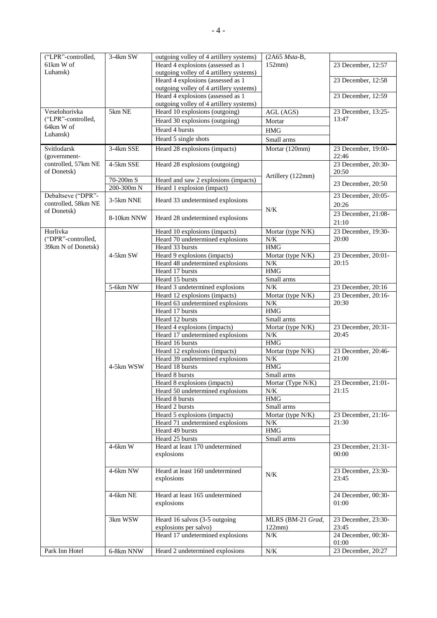| ("LPR"-controlled,              | $3-4km$ SW     | outgoing volley of 4 artillery systems) | (2A65 Msta-B,     |                              |
|---------------------------------|----------------|-----------------------------------------|-------------------|------------------------------|
| 61km W of                       |                | Heard 4 explosions (assessed as 1       | $152$ mm $)$      | 23 December, 12:57           |
| Luhansk)                        |                | outgoing volley of 4 artillery systems) |                   |                              |
|                                 |                | Heard 4 explosions (assessed as 1       |                   | 23 December, 12:58           |
|                                 |                | outgoing volley of 4 artillery systems) |                   |                              |
|                                 |                | Heard 4 explosions (assessed as 1       |                   | 23 December, 12:59           |
|                                 |                |                                         |                   |                              |
|                                 | 5km NE         | outgoing volley of 4 artillery systems) |                   |                              |
| Veselohorivka                   |                | Heard 10 explosions (outgoing)          | AGL (AGS)         | 23 December, 13:25-<br>13:47 |
| ("LPR"-controlled,<br>64km W of |                | Heard 30 explosions (outgoing)          | Mortar            |                              |
| Luhansk)                        |                | Heard 4 bursts                          | <b>HMG</b>        |                              |
|                                 |                | Heard 5 single shots                    | Small arms        |                              |
| Svitlodarsk                     | 3-4km SSE      | Heard 28 explosions (impacts)           | Mortar (120mm)    | 23 December, 19:00-          |
| (government-                    |                |                                         |                   | 22:46                        |
| controlled, 57km NE             | 4-5km SSE      | Heard 28 explosions (outgoing)          |                   | 23 December, 20:30-          |
| of Donetsk)                     |                |                                         |                   | 20:50                        |
|                                 |                |                                         | Artillery (122mm) |                              |
|                                 | 70-200m S      | Heard and saw 2 explosions (impacts)    |                   | 23 December, 20:50           |
|                                 | $200 - 300m N$ | Heard 1 explosion (impact)              |                   |                              |
| Debaltseve ("DPR"-              | 3-5km NNE      | Heard 33 undetermined explosions        |                   | 23 December, 20:05-          |
| controlled, 58km NE             |                |                                         |                   | 20:26                        |
| of Donetsk)                     |                |                                         | N/K               | 23 December, 21:08-          |
|                                 | 8-10km NNW     | Heard 28 undetermined explosions        |                   | 21:10                        |
| Horlivka                        |                |                                         |                   | 23 December, 19:30-          |
|                                 |                | Heard 10 explosions (impacts)           | Mortar (type N/K) |                              |
| ("DPR"-controlled,              |                | Heard 70 undetermined explosions        | N/K               | 20:00                        |
| 39km N of Donetsk)              |                | Heard 33 bursts                         | <b>HMG</b>        |                              |
|                                 | 4-5km SW       | Heard 9 explosions (impacts)            | Mortar (type N/K) | 23 December, 20:01-          |
|                                 |                | Heard 48 undetermined explosions        | N/K               | 20:15                        |
|                                 |                | Heard 17 bursts                         | <b>HMG</b>        |                              |
|                                 |                | Heard 15 bursts                         | Small arms        |                              |
|                                 | 5-6km NW       | Heard 3 undetermined explosions         | $N/K$             | 23 December, 20:16           |
|                                 |                | Heard 12 explosions (impacts)           | Mortar (type N/K) | 23 December, 20:16-          |
|                                 |                | Heard 63 undetermined explosions        | $N\!/\!K$         | 20:30                        |
|                                 |                | Heard 17 bursts                         | $\rm HMG$         |                              |
|                                 |                | Heard 12 bursts                         | Small arms        |                              |
|                                 |                | Heard 4 explosions (impacts)            | Mortar (type N/K) | 23 December, 20:31-          |
|                                 |                | Heard 17 undetermined explosions        | N/K               | 20:45                        |
|                                 |                | Heard 16 bursts                         | <b>HMG</b>        |                              |
|                                 |                | Heard 12 explosions (impacts)           | Mortar (type N/K) | 23 December, 20:46-          |
|                                 |                |                                         | N/K               | 21:00                        |
|                                 |                | Heard 39 undetermined explosions        | <b>HMG</b>        |                              |
|                                 | 4-5km WSW      | Heard 18 bursts                         |                   |                              |
|                                 |                | Heard 8 bursts                          | Small arms        |                              |
|                                 |                | Heard 8 explosions (impacts)            | Mortar (Type N/K) | 23 December, 21:01-          |
|                                 |                | Heard 50 undetermined explosions        | N/K               | 21:15                        |
|                                 |                | Heard 8 bursts                          | <b>HMG</b>        |                              |
|                                 |                | Heard 2 bursts                          | Small arms        |                              |
|                                 |                | Heard 5 explosions (impacts)            | Mortar (type N/K) | 23 December, 21:16-          |
|                                 |                | Heard 71 undetermined explosions        | N/K               | 21:30                        |
|                                 |                | Heard 49 bursts                         | $\rm{HMG}$        |                              |
|                                 |                | Heard 25 bursts                         | Small arms        |                              |
|                                 | $4-6km$ W      | Heard at least 170 undetermined         |                   | 23 December, 21:31-          |
|                                 |                | explosions                              |                   | 00:00                        |
|                                 |                |                                         |                   |                              |
|                                 | 4-6km NW       | Heard at least 160 undetermined         |                   | 23 December, 23:30-          |
|                                 |                | explosions                              | N/K               | 23:45                        |
|                                 |                |                                         |                   |                              |
|                                 |                |                                         |                   |                              |
|                                 | $4-6km$ NE     | Heard at least 165 undetermined         |                   | 24 December, 00:30-          |
|                                 |                | explosions                              |                   | 01:00                        |
|                                 |                |                                         |                   |                              |
|                                 | 3km WSW        | Heard 16 salvos (3-5 outgoing           | MLRS (BM-21 Grad, | 23 December, 23:30-          |
|                                 |                | explosions per salvo)                   | 122mm)            | 23:45                        |
|                                 |                | Heard 17 undetermined explosions        | N/K               | 24 December, 00:30-          |
|                                 |                |                                         |                   | 01:00                        |
| Park Inn Hotel                  | 6-8km NNW      | Heard 2 undetermined explosions         | N/K               | 23 December, 20:27           |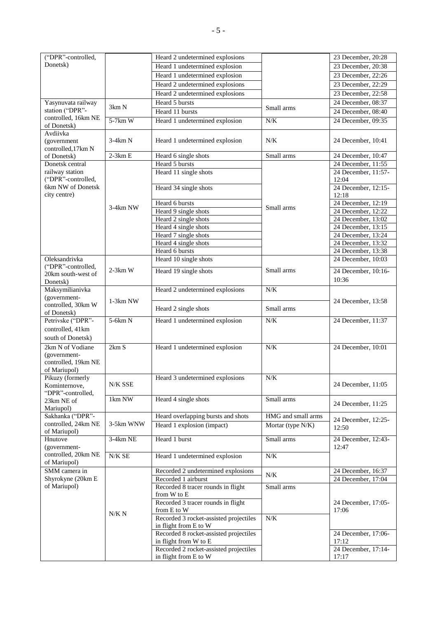| ("DPR"-controlled,            |               | Heard 2 undetermined explosions                                 |                    | 23 December, 20:28                       |
|-------------------------------|---------------|-----------------------------------------------------------------|--------------------|------------------------------------------|
| Donetsk)                      |               | Heard 1 undetermined explosion                                  |                    | 23 December, 20:38                       |
|                               |               | Heard 1 undetermined explosion                                  |                    | 23 December, 22:26                       |
|                               |               | Heard 2 undetermined explosions                                 |                    | 23 December, 22:29                       |
|                               |               | Heard 2 undetermined explosions                                 |                    | 23 December, 22:58                       |
| Yasynuvata railway            |               | Heard 5 bursts                                                  |                    | 24 December, 08:37                       |
| station ("DPR"-               | 3km N         | Heard 11 bursts                                                 | Small arms         | 24 December, 08:40                       |
| controlled, 16km NE           | $5-7km$ W     |                                                                 |                    |                                          |
| of Donetsk)                   |               | Heard 1 undetermined explosion                                  | $N/K$              | 24 December, 09:35                       |
| Avdiivka                      |               |                                                                 |                    |                                          |
| (government)                  | 3-4km N       | Heard 1 undetermined explosion                                  | N/K                | 24 December, 10:41                       |
| controlled, 17km N            |               |                                                                 |                    |                                          |
| of Donetsk)                   | $2-3km E$     | Heard 6 single shots                                            | Small arms         | 24 December, 10:47                       |
| Donetsk central               |               | Heard 5 bursts                                                  |                    | 24 December, 11:55                       |
| railway station               |               | Heard 11 single shots                                           |                    | 24 December, 11:57-                      |
| ("DPR"-controlled,            |               |                                                                 |                    | 12:04                                    |
| 6km NW of Donetsk             |               | Heard 34 single shots                                           |                    | 24 December, 12:15-                      |
| city centre)                  |               |                                                                 |                    | 12:18                                    |
|                               | 3-4km NW      | Heard 6 bursts<br>Heard 9 single shots                          | Small arms         | 24 December, 12:19<br>24 December, 12:22 |
|                               |               |                                                                 |                    | 24 December, 13:02                       |
|                               |               | Heard 2 single shots                                            |                    | 24 December, 13:15                       |
|                               |               | Heard 4 single shots<br>Heard 7 single shots                    |                    | 24 December, 13:24                       |
|                               |               | Heard 4 single shots                                            |                    | 24 December, 13:32                       |
|                               |               | Heard 6 bursts                                                  |                    | 24 December, 13:38                       |
| Oleksandrivka                 |               | Heard 10 single shots                                           |                    | 24 December, 10:03                       |
| ("DPR"-controlled,            |               |                                                                 |                    |                                          |
| 20km south-west of            | $2-3km$ W     | Heard 19 single shots                                           | Small arms         | 24 December, 10:16-                      |
| Donetsk)                      |               |                                                                 |                    | 10:36                                    |
| Maksymilianivka               |               | Heard 2 undetermined explosions                                 | N/K                |                                          |
| (government-                  |               |                                                                 |                    |                                          |
| controlled, 30km W            | $1-3km$ NW    | Heard 2 single shots                                            | Small arms         | 24 December, 13:58                       |
| of Donetsk)                   |               |                                                                 |                    |                                          |
| Petrivske ("DPR"-             | $5-6km N$     | Heard 1 undetermined explosion                                  | N/K                | 24 December, 11:37                       |
| controlled, 41km              |               |                                                                 |                    |                                          |
| south of Donetsk)             |               |                                                                 |                    |                                          |
| 2km N of Vodiane              | 2km S         | Heard 1 undetermined explosion                                  | $N\!/\!K$          | 24 December, 10:01                       |
| (government-                  |               |                                                                 |                    |                                          |
| controlled, 19km NE           |               |                                                                 |                    |                                          |
| of Mariupol)                  |               |                                                                 |                    |                                          |
| Pikuzy (formerly              |               | Heard 3 undetermined explosions                                 | N/K                |                                          |
| Kominternove,                 | N/K SSE       |                                                                 |                    | 24 December, 11:05                       |
| "DPR"-controlled,             | 1km NW        | Heard 4 single shots                                            | Small arms         |                                          |
| 23km NE of                    |               |                                                                 |                    | 24 December, 11:25                       |
| Mariupol)<br>Sakhanka ("DPR"- |               | Heard overlapping bursts and shots                              | HMG and small arms |                                          |
| controlled, 24km NE           | 3-5km WNW     |                                                                 |                    | 24 December, 12:25-                      |
| of Mariupol)                  |               | Heard 1 explosion (impact)                                      | Mortar (type N/K)  | 12:50                                    |
| Hnutove                       | 3-4km NE      | Heard 1 burst                                                   | Small arms         | 24 December, 12:43-                      |
| (government-                  |               |                                                                 |                    | 12:47                                    |
| controlled, 20km NE           | $N/K$ SE $\,$ | Heard 1 undetermined explosion                                  | N/K                |                                          |
| of Mariupol)                  |               |                                                                 |                    |                                          |
| SMM camera in                 |               | Recorded 2 undetermined explosions                              |                    | 24 December, 16:37                       |
| Shyrokyne (20km E             |               | Recorded 1 airburst                                             | N/K                | 24 December, 17:04                       |
| of Mariupol)                  |               | Recorded 8 tracer rounds in flight                              | Small arms         |                                          |
|                               |               | from W to E                                                     |                    |                                          |
|                               |               | Recorded 3 tracer rounds in flight                              |                    | 24 December, 17:05-                      |
|                               | N/K N         | from E to W                                                     |                    | 17:06                                    |
|                               |               | Recorded 3 rocket-assisted projectiles                          | N/K                |                                          |
|                               |               | in flight from E to W                                           |                    |                                          |
|                               |               | Recorded 8 rocket-assisted projectiles                          |                    | 24 December, 17:06-                      |
|                               |               | in flight from W to E                                           |                    | 17:12                                    |
|                               |               | Recorded 2 rocket-assisted projectiles<br>in flight from E to W |                    | 24 December, 17:14-<br>17:17             |
|                               |               |                                                                 |                    |                                          |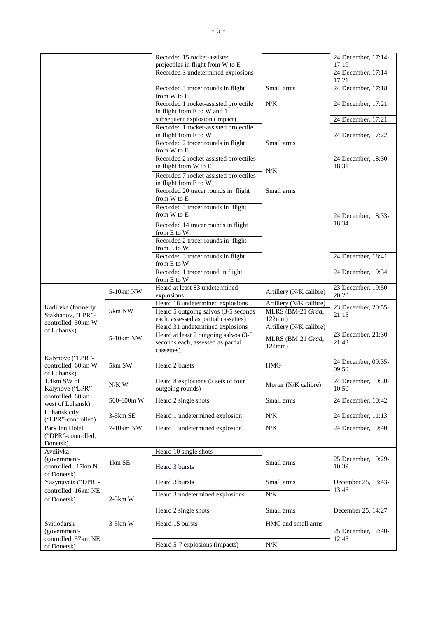|                                         |            | Recorded 15 rocket-assisted<br>projectiles in flight from W to E           |                         | 24 December, 17:14-<br>17:19 |
|-----------------------------------------|------------|----------------------------------------------------------------------------|-------------------------|------------------------------|
|                                         |            | Recorded 3 undetermined explosions                                         |                         | 24 December, 17:14-          |
|                                         |            |                                                                            |                         | 17:21                        |
|                                         |            | Recorded 3 tracer rounds in flight<br>from W to E                          | Small arms              | 24 December, 17:18           |
|                                         |            | Recorded 1 rocket-assisted projectile                                      | $N/K$                   | 24 December, 17:21           |
|                                         |            | in flight from E to W and 1                                                |                         |                              |
|                                         |            | subsequent explosion (impact)                                              |                         | 24 December, 17:21           |
|                                         |            | Recorded 1 rocket-assisted projectile<br>in flight from E to W             |                         | 24 December, 17:22           |
|                                         |            | Recorded 2 tracer rounds in flight                                         | Small arms              |                              |
|                                         |            | from W to E                                                                |                         |                              |
|                                         |            | Recorded 2 rocket-assisted projectiles                                     |                         | 24 December, 18:30-          |
|                                         |            | in flight from W to E                                                      | N/K                     | 18:31                        |
|                                         |            | Recorded 7 rocket-assisted projectiles<br>in flight from E to W            |                         |                              |
|                                         |            | Recorded 20 tracer rounds in flight                                        | Small arms              |                              |
|                                         |            | from W to E                                                                |                         |                              |
|                                         |            | Recorded 3 tracer rounds in flight<br>from W to E                          |                         |                              |
|                                         |            |                                                                            |                         | 24 December, 18:33-<br>18:34 |
|                                         |            | Recorded 14 tracer rounds in flight<br>from E to W                         |                         |                              |
|                                         |            | Recorded 2 tracer rounds in flight                                         |                         |                              |
|                                         |            | from E to W                                                                |                         |                              |
|                                         |            | Recorded 3 tracer rounds in flight<br>from E to W                          |                         | 24 December, 18:41           |
|                                         |            | Recorded 1 tracer round in flight                                          |                         | 24 December, 19:34           |
|                                         |            | from E to W                                                                |                         |                              |
|                                         | 5-10km NW  | Heard at least 83 undetermined                                             | Artillery (N/K calibre) | 23 December, 19:50-          |
|                                         |            | explosions<br>Heard 18 undetermined explosions                             | Artillery (N/K calibre) | 20:20                        |
| Kadiivka (formerly                      | 5km NW     | Heard 5 outgoing salvos (3-5 seconds                                       | MLRS (BM-21 Grad,       | 23 December, 20:55-          |
| Stakhanov, "LPR"-<br>controlled, 50km W |            | each, assessed as partial cassettes)                                       | 122mm)                  | 21:15                        |
| of Luhansk)                             |            | Heard 31 undetermined explosions                                           | Artillery (N/K calibre) |                              |
|                                         | 5-10km NW  | Heard at least 2 outgoing salvos (3-5<br>seconds each, assessed as partial | MLRS (BM-21 Grad,       | 23 December, 21:30-<br>21:43 |
|                                         |            | cassettes)                                                                 | 122mm)                  |                              |
| Kalynove ("LPR"-                        |            |                                                                            |                         | 24 December, 09:35-          |
| controlled, 60km W<br>of Luhansk)       | 5km SW     | Heard 2 bursts                                                             | <b>HMG</b>              | 09:50                        |
| 1.4km SW of                             | $N/K$ W    | Heard 8 explosions (2 sets of four                                         | Mortar (N/K calibre)    | 24 December, 10:30-          |
| Kalynove ("LPR"-<br>controlled, 60km    |            | outgoing rounds)                                                           |                         | 10:50                        |
| west of Luhansk)                        | 500-600m W | Heard 2 single shots                                                       | Small arms              | 24 December, 10:42           |
| Luhansk city<br>("LPR"-controlled)      | 3-5km SE   | Heard 1 undetermined explosion                                             | N/K                     | 24 December, 11:13           |
| Park Inn Hotel                          | 7-10km NW  | Heard 1 undetermined explosion                                             | N/K                     | 24 December, 19:40           |
| ("DPR"-controlled,                      |            |                                                                            |                         |                              |
| Donetsk)<br>Avdiivka                    |            | Heard 10 single shots                                                      |                         |                              |
| (government-                            | 1km SE     |                                                                            | Small arms              | 25 December, 10:29-          |
| controlled, 17km N                      |            | Heard 3 bursts                                                             |                         | 10:39                        |
| of Donetsk)<br>Yasynuvata ("DPR"-       |            | Heard 3 bursts                                                             | Small arms              | December 25, 13:43-          |
| controlled, 16km NE                     |            |                                                                            |                         | 13:46                        |
| of Donetsk)                             | $2-3km$ W  | Heard 3 undetermined explosions                                            | N/K                     |                              |
|                                         |            | Heard 2 single shots                                                       | Small arms              | December 25, 14:27           |
| Svitlodarsk                             | $3-5km$ W  | Heard 15 bursts                                                            | HMG and small arms      |                              |
| (government-                            |            |                                                                            |                         | 25 December, 12:40-          |
| controlled, 57km NE                     |            | Heard 5-7 explosions (impacts)                                             | $N\!/\!K$               | 12:45                        |
| of Donetsk)                             |            |                                                                            |                         |                              |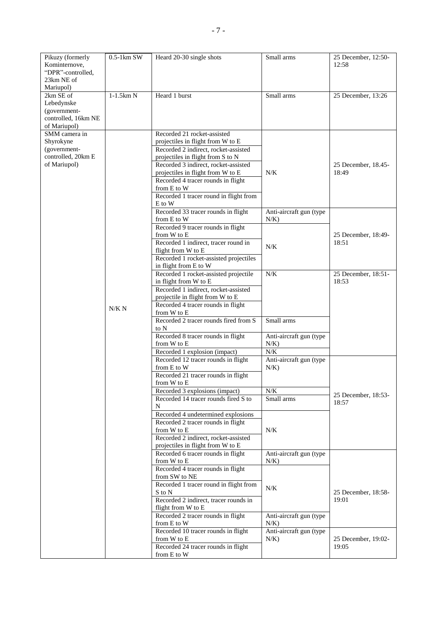| Pikuzy (formerly<br>Kominternove,<br>"DPR"-controlled,<br>23km NE of           | $0.5-1$ km SW | Heard 20-30 single shots                                                  | Small arms                         | 25 December, 12:50-<br>12:58 |
|--------------------------------------------------------------------------------|---------------|---------------------------------------------------------------------------|------------------------------------|------------------------------|
| Mariupol)                                                                      |               |                                                                           |                                    |                              |
| 2km SE of<br>Lebedynske<br>(government-<br>controlled, 16km NE<br>of Mariupol) | $1-1.5km N$   | Heard 1 burst                                                             | Small arms                         | 25 December, 13:26           |
| SMM camera in                                                                  |               | Recorded 21 rocket-assisted                                               |                                    |                              |
| Shyrokyne                                                                      |               | projectiles in flight from W to E                                         |                                    |                              |
| (government-<br>controlled, 20km E                                             |               | Recorded 2 indirect, rocket-assisted<br>projectiles in flight from S to N |                                    |                              |
| of Mariupol)                                                                   |               | Recorded 3 indirect, rocket-assisted                                      |                                    | 25 December, 18.45-          |
|                                                                                |               | projectiles in flight from W to E                                         | N/K                                | 18:49                        |
|                                                                                |               | Recorded 4 tracer rounds in flight                                        |                                    |                              |
|                                                                                |               | from E to W<br>Recorded 1 tracer round in flight from                     |                                    |                              |
|                                                                                |               | E to W                                                                    |                                    |                              |
|                                                                                |               | Recorded 33 tracer rounds in flight<br>from E to W                        | Anti-aircraft gun (type<br>$N/K$ ) |                              |
|                                                                                |               | Recorded 9 tracer rounds in flight<br>from W to E                         |                                    | 25 December, 18:49-          |
|                                                                                |               | Recorded 1 indirect, tracer round in                                      |                                    | 18:51                        |
|                                                                                |               | flight from W to E                                                        | N/K                                |                              |
|                                                                                |               | Recorded 1 rocket-assisted projectiles<br>in flight from E to W           |                                    |                              |
|                                                                                |               | Recorded 1 rocket-assisted projectile<br>in flight from W to E            | $N/K$                              | 25 December, 18:51-<br>18:53 |
|                                                                                |               | Recorded 1 indirect, rocket-assisted                                      |                                    |                              |
|                                                                                |               | projectile in flight from W to E                                          |                                    |                              |
|                                                                                | N/K N         | Recorded 4 tracer rounds in flight<br>from W to E                         |                                    |                              |
|                                                                                |               | Recorded 2 tracer rounds fired from S                                     | Small arms                         |                              |
|                                                                                |               | to N                                                                      |                                    |                              |
|                                                                                |               | Recorded 8 tracer rounds in flight                                        | Anti-aircraft gun (type            |                              |
|                                                                                |               | from W to E<br>Recorded 1 explosion (impact)                              | N/K<br>N/K                         |                              |
|                                                                                |               | Recorded 12 tracer rounds in flight                                       | Anti-aircraft gun (type            |                              |
|                                                                                |               | from E to W                                                               | N/K                                |                              |
|                                                                                |               | Recorded 21 tracer rounds in flight<br>from W to E                        |                                    |                              |
|                                                                                |               | Recorded 3 explosions (impact)                                            | N/K                                | 25 December, 18:53-          |
|                                                                                |               | Recorded 14 tracer rounds fired S to<br>N                                 | Small arms                         | 18:57                        |
|                                                                                |               | Recorded 4 undetermined explosions                                        |                                    |                              |
|                                                                                |               | Recorded 2 tracer rounds in flight                                        |                                    |                              |
|                                                                                |               | from W to E<br>Recorded 2 indirect, rocket-assisted                       | N/K                                |                              |
|                                                                                |               | projectiles in flight from W to E                                         |                                    |                              |
|                                                                                |               | Recorded 6 tracer rounds in flight                                        | Anti-aircraft gun (type            |                              |
|                                                                                |               | from W to E<br>Recorded 4 tracer rounds in flight                         | N/K                                |                              |
|                                                                                |               | from SW to NE                                                             |                                    |                              |
|                                                                                |               | Recorded 1 tracer round in flight from                                    | N/K                                |                              |
|                                                                                |               | S to N<br>Recorded 2 indirect, tracer rounds in                           |                                    | 25 December, 18:58-<br>19:01 |
|                                                                                |               | flight from W to E                                                        |                                    |                              |
|                                                                                |               | Recorded 2 tracer rounds in flight<br>from E to W                         | Anti-aircraft gun (type<br>N/K     |                              |
|                                                                                |               | Recorded 10 tracer rounds in flight                                       | Anti-aircraft gun (type            |                              |
|                                                                                |               | from W to E                                                               | $N/K$ )                            | 25 December, 19:02-          |
|                                                                                |               | Recorded 24 tracer rounds in flight<br>from E to W                        |                                    | 19:05                        |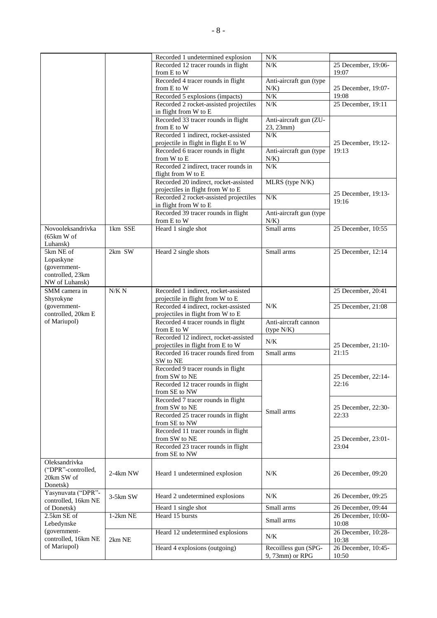|                                     |            | Recorded 1 undetermined explosion                                        | $N\!/\!K$               |                              |
|-------------------------------------|------------|--------------------------------------------------------------------------|-------------------------|------------------------------|
|                                     |            | Recorded 12 tracer rounds in flight                                      | $N/K$                   | 25 December, 19:06-          |
|                                     |            | from E to W                                                              |                         | 19:07                        |
|                                     |            | Recorded 4 tracer rounds in flight                                       | Anti-aircraft gun (type |                              |
|                                     |            | from E to W                                                              | $N/K$ )                 | 25 December, 19:07-          |
|                                     |            | Recorded 5 explosions (impacts)                                          | N/K                     | 19:08                        |
|                                     |            | Recorded 2 rocket-assisted projectiles                                   | N/K                     | 25 December, 19:11           |
|                                     |            | in flight from W to E                                                    |                         |                              |
|                                     |            | Recorded 33 tracer rounds in flight                                      | Anti-aircraft gun (ZU-  |                              |
|                                     |            | from E to W                                                              | 23, 23mm)               |                              |
|                                     |            | Recorded 1 indirect, rocket-assisted                                     | N/K                     |                              |
|                                     |            | projectile in flight in flight E to W                                    |                         | 25 December, 19:12-          |
|                                     |            | Recorded 6 tracer rounds in flight                                       | Anti-aircraft gun (type | 19:13                        |
|                                     |            | from W to E                                                              | N/K                     |                              |
|                                     |            | Recorded 2 indirect, tracer rounds in                                    | N/K                     |                              |
|                                     |            | flight from W to E                                                       |                         |                              |
|                                     |            | Recorded 20 indirect, rocket-assisted                                    | MLRS (type N/K)         |                              |
|                                     |            | projectiles in flight from W to E                                        |                         |                              |
|                                     |            | Recorded 2 rocket-assisted projectiles                                   | N/K                     | 25 December, 19:13-          |
|                                     |            | in flight from W to E                                                    |                         | 19:16                        |
|                                     |            | Recorded 39 tracer rounds in flight                                      | Anti-aircraft gun (type |                              |
|                                     |            | from E to W                                                              | $N/K$ )                 |                              |
| Novooleksandrivka                   | 1km SSE    | Heard 1 single shot                                                      | Small arms              | 25 December, 10:55           |
| (65km W of                          |            |                                                                          |                         |                              |
| Luhansk)                            |            |                                                                          |                         |                              |
| 5km NE of                           | 2km SW     | Heard 2 single shots                                                     | Small arms              | 25 December, 12:14           |
| Lopaskyne                           |            |                                                                          |                         |                              |
| (government-                        |            |                                                                          |                         |                              |
| controlled, 23km                    |            |                                                                          |                         |                              |
| NW of Luhansk)                      |            |                                                                          |                         |                              |
|                                     | N/K N      |                                                                          |                         |                              |
| SMM camera in<br>Shyrokyne          |            | Recorded 1 indirect, rocket-assisted<br>projectile in flight from W to E |                         | 25 December, 20:41           |
|                                     |            |                                                                          | $N/K$                   |                              |
| (government-<br>controlled, 20km E  |            | Recorded 4 indirect, rocket-assisted                                     |                         | 25 December, 21:08           |
| of Mariupol)                        |            | projectiles in flight from W to E                                        |                         |                              |
|                                     |            | Recorded 4 tracer rounds in flight<br>from E to W                        | Anti-aircraft cannon    |                              |
|                                     |            | Recorded 12 indirect, rocket-assisted                                    | (type N/K)              |                              |
|                                     |            | projectiles in flight from E to W                                        | $N\!/\!K$               | 25 December, 21:10-          |
|                                     |            | Recorded 16 tracer rounds fired from                                     | Small arms              | 21:15                        |
|                                     |            | SW to NE                                                                 |                         |                              |
|                                     |            | Recorded 9 tracer rounds in flight                                       |                         |                              |
|                                     |            | from SW to NE                                                            |                         | 25 December, 22:14-          |
|                                     |            | Recorded 12 tracer rounds in flight                                      |                         | 22:16                        |
|                                     |            | from SE to NW                                                            |                         |                              |
|                                     |            | Recorded 7 tracer rounds in flight                                       |                         |                              |
|                                     |            | from SW to NE                                                            |                         | 25 December, 22:30-          |
|                                     |            | Recorded 25 tracer rounds in flight                                      | Small arms              | 22:33                        |
|                                     |            | from SE to NW                                                            |                         |                              |
|                                     |            | Recorded 11 tracer rounds in flight                                      |                         |                              |
|                                     |            | from SW to NE                                                            |                         | 25 December, 23:01-          |
|                                     |            | Recorded 23 tracer rounds in flight                                      |                         | 23:04                        |
|                                     |            | from SE to NW                                                            |                         |                              |
| Oleksandrivka                       |            |                                                                          |                         |                              |
| ("DPR"-controlled,                  |            |                                                                          |                         |                              |
| 20km SW of                          | 2-4km NW   | Heard 1 undetermined explosion                                           | $N/K$                   | 26 December, 09:20           |
| Donetsk)                            |            |                                                                          |                         |                              |
| Yasynuvata ("DPR"-                  |            |                                                                          |                         |                              |
| controlled, 16km NE                 | 3-5km SW   | Heard 2 undetermined explosions                                          | N/K                     | 26 December, 09:25           |
| of Donetsk)                         |            | Heard 1 single shot                                                      | Small arms              | 26 December, 09:44           |
| 2.5km SE of                         | $1-2km$ NE | Heard 15 bursts                                                          |                         | 26 December, 10:00-          |
| Lebedynske                          |            |                                                                          | Small arms              |                              |
|                                     |            |                                                                          |                         |                              |
|                                     |            |                                                                          |                         | 10:08                        |
| (government-<br>controlled, 16km NE |            | Heard 12 undetermined explosions                                         | $N/K$                   | 26 December, 10:28-          |
| of Mariupol)                        | 2km NE     | Heard 4 explosions (outgoing)                                            | Recoilless gun (SPG-    | 10:38<br>26 December, 10:45- |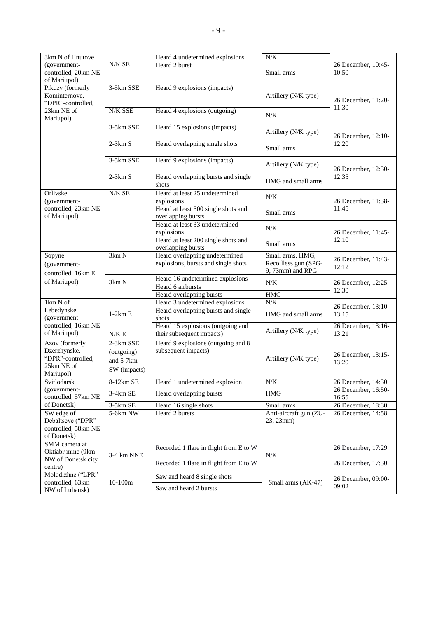| 3km N of Hnutove                                                               |                                                      | Heard 4 undetermined explosions                                       | N/K                                                          |                              |
|--------------------------------------------------------------------------------|------------------------------------------------------|-----------------------------------------------------------------------|--------------------------------------------------------------|------------------------------|
| (government-<br>controlled, 20km NE<br>of Mariupol)                            | N/K SE                                               | Heard 2 burst                                                         | Small arms                                                   | 26 December, 10:45-<br>10:50 |
| Pikuzy (formerly<br>Kominternove,<br>"DPR"-controlled,                         | 3-5km SSE                                            | Heard 9 explosions (impacts)                                          | Artillery (N/K type)                                         | 26 December, 11:20-          |
| 23km NE of<br>Mariupol)                                                        | N/K SSE                                              | Heard 4 explosions (outgoing)                                         | $N/K$                                                        | 11:30                        |
|                                                                                | 3-5km SSE                                            | Heard 15 explosions (impacts)                                         | Artillery (N/K type)                                         | 26 December, 12:10-          |
|                                                                                | $2-3km S$                                            | Heard overlapping single shots                                        | Small arms                                                   | 12:20                        |
|                                                                                | 3-5km SSE                                            | Heard 9 explosions (impacts)                                          | Artillery (N/K type)                                         | 26 December, 12:30-          |
|                                                                                | $2-3km S$                                            | Heard overlapping bursts and single<br>shots                          | HMG and small arms                                           | 12:35                        |
| Orlivske<br>(government-                                                       | N/K SE                                               | Heard at least 25 undetermined<br>explosions                          | N/K                                                          | 26 December, 11:38-          |
| controlled, 23km NE<br>of Mariupol)                                            |                                                      | Heard at least 500 single shots and<br>overlapping bursts             | Small arms                                                   | 11:45                        |
|                                                                                |                                                      | Heard at least 33 undetermined<br>explosions                          | $N/K$                                                        | 26 December, 11:45-          |
|                                                                                |                                                      | Heard at least 200 single shots and<br>overlapping bursts             | Small arms                                                   | 12:10                        |
| Sopyne<br>(government-<br>controlled, 16km E                                   | 3km N                                                | Heard overlapping undetermined<br>explosions, bursts and single shots | Small arms, HMG,<br>Recoilless gun (SPG-<br>9, 73mm) and RPG | 26 December, 11:43-<br>12:12 |
| of Mariupol)                                                                   | 3km N                                                | Heard 16 undetermined explosions<br>Heard 6 airbursts                 | N/K                                                          | 26 December, 12:25-<br>12:30 |
|                                                                                |                                                      | Heard overlapping bursts                                              | <b>HMG</b>                                                   |                              |
| 1km N of                                                                       |                                                      | Heard 3 undetermined explosions                                       | N/K                                                          | 26 December, 13:10-          |
| Lebedynske<br>(government-                                                     | $1-2km E$                                            | Heard overlapping bursts and single<br>shots                          | HMG and small arms                                           | 13:15                        |
| controlled, 16km NE<br>of Mariupol)                                            | N/K E                                                | Heard 15 explosions (outgoing and<br>their subsequent impacts)        | Artillery (N/K type)                                         | 26 December, 13:16-<br>13:21 |
| Azov (formerly<br>Dzerzhynske,<br>"DPR"-controlled,<br>25km NE of<br>Mariupol) | 2-3km SSE<br>(outgoing)<br>and 5-7km<br>SW (impacts) | Heard 9 explosions (outgoing and 8)<br>subsequent impacts)            | Artillery (N/K type)                                         | 26 December, 13:15-<br>13:20 |
| Svitlodarsk                                                                    | 8-12km SE                                            | Heard 1 undetermined explosion                                        | $\overline{N/K}$                                             | 26 December, 14:30           |
| (government-<br>controlled, 57km NE                                            | 3-4km SE                                             | Heard overlapping bursts                                              | <b>HMG</b>                                                   | 26 December, 16:50-<br>16:55 |
| of Donetsk)                                                                    | 3-5km SE                                             | Heard 16 single shots                                                 | Small arms                                                   | 26 December, 18:30           |
| SW edge of<br>Debaltseve ("DPR"-<br>controlled, 58km NE<br>of Donetsk)         | 5-6km NW                                             | Heard 2 bursts                                                        | Anti-aircraft gun (ZU-<br>23, 23mm)                          | 26 December, 14:58           |
| SMM camera at<br>Oktiabr mine (9km                                             | 3-4 km NNE                                           | Recorded 1 flare in flight from E to W                                | N/K                                                          | 26 December, 17:29           |
| NW of Donetsk city<br>centre)                                                  |                                                      | Recorded 1 flare in flight from E to W                                |                                                              | 26 December, 17:30           |
| Molodizhne ("LPR"-                                                             | $10-100m$                                            | Saw and heard 8 single shots                                          |                                                              | 26 December, 09:00-          |
| controlled, 63km<br>NW of Luhansk)                                             |                                                      | Saw and heard 2 bursts                                                | Small arms (AK-47)                                           | 09:02                        |